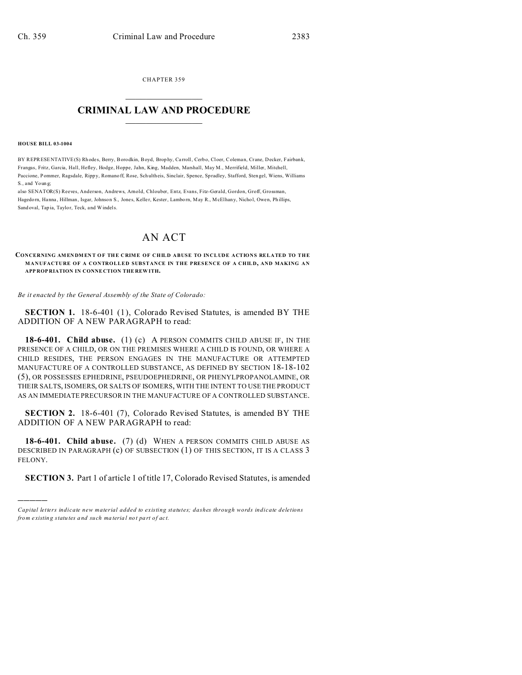CHAPTER 359  $\overline{\phantom{a}}$  , where  $\overline{\phantom{a}}$ 

## **CRIMINAL LAW AND PROCEDURE**  $\_$   $\_$   $\_$   $\_$   $\_$   $\_$   $\_$   $\_$   $\_$

#### **HOUSE BILL 03-1004**

)))))

BY REPRESENTATIVE(S) Rhodes, Berry, Borodkin, Boyd, Brophy, Carroll, Cerbo, Cloer, Coleman, Crane, Decker, Fairbank, Frangas, Fritz, Garcia, Hall, Hefley, Hodge, Hoppe, Jahn, King, Madden, Marshall, May M., Merrifield, Miller, Mitchell, Paccione, Pommer, Ragsdale, Rippy, Romano ff, Rose, Schultheis, Sinclair, Spence, Spradley, Stafford, Sten gel, Wiens, Williams S., and Youn g;

also SENATOR(S) Reeves, Anderson, Andrews, Arnold, Chlouber, Entz, Evans, Fitz-Gerald, Gordon, Groff, Grossman, Hagedorn, Hanna, Hillman, Isgar, Johnson S., Jones, Keller, Kester, Lamborn, May R., McElhany, Nichol, Owen, Phillips, Sand oval, Tap ia, Taylor, Teck, and Windels.

# AN ACT

### **CONCERNING AMENDMENT OF THE CRIME OF CHILD ABUSE TO INCLUDE ACTIONS RELATED TO THE MANUFACTURE OF A CONTROLLED SUBSTANCE IN THE PRESENCE OF A CHILD, AND MAKING AN APP ROP RIATION IN CONNE CTION THE REW ITH.**

### *Be it enacted by the General Assembly of the State of Colorado:*

**SECTION 1.** 18-6-401 (1), Colorado Revised Statutes, is amended BY THE ADDITION OF A NEW PARAGRAPH to read:

**18-6-401. Child abuse.** (1) (c) A PERSON COMMITS CHILD ABUSE IF, IN THE PRESENCE OF A CHILD, OR ON THE PREMISES WHERE A CHILD IS FOUND, OR WHERE A CHILD RESIDES, THE PERSON ENGAGES IN THE MANUFACTURE OR ATTEMPTED MANUFACTURE OF A CONTROLLED SUBSTANCE, AS DEFINED BY SECTION 18-18-102 (5), OR POSSESSES EPHEDRINE, PSEUDOEPHEDRINE, OR PHENYLPROPANOLAMINE, OR THEIR SALTS, ISOMERS, OR SALTS OF ISOMERS, WITH THE INTENT TO USE THE PRODUCT AS AN IMMEDIATE PRECURSOR IN THE MANUFACTURE OF A CONTROLLED SUBSTANCE.

**SECTION 2.** 18-6-401 (7), Colorado Revised Statutes, is amended BY THE ADDITION OF A NEW PARAGRAPH to read:

**18-6-401. Child abuse.** (7) (d) WHEN A PERSON COMMITS CHILD ABUSE AS DESCRIBED IN PARAGRAPH (c) OF SUBSECTION (1) OF THIS SECTION, IT IS A CLASS 3 FELONY.

**SECTION 3.** Part 1 of article 1 of title 17, Colorado Revised Statutes, is amended

*Capital letters indicate new material added to existing statutes; dashes through words indicate deletions from e xistin g statu tes a nd such ma teria l no t pa rt of ac t.*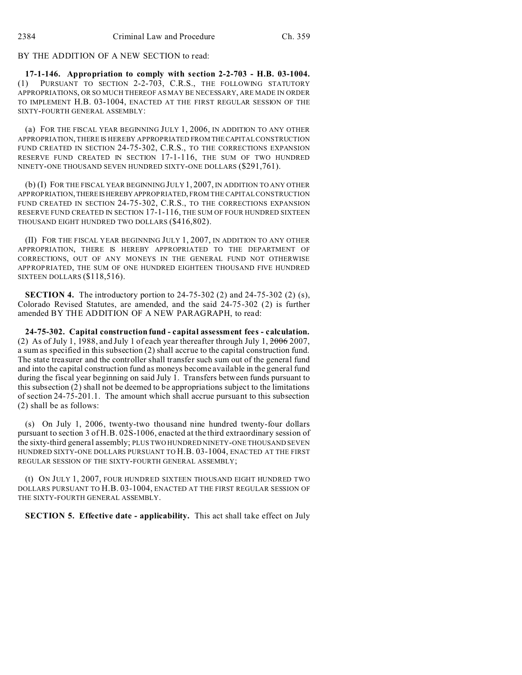BY THE ADDITION OF A NEW SECTION to read:

**17-1-146. Appropriation to comply with section 2-2-703 - H.B. 03-1004.** (1) PURSUANT TO SECTION 2-2-703, C.R.S., THE FOLLOWING STATUTORY APPROPRIATIONS, OR SO MUCH THEREOF AS MAY BE NECESSARY, ARE MADE IN ORDER TO IMPLEMENT H.B. 03-1004, ENACTED AT THE FIRST REGULAR SESSION OF THE SIXTY-FOURTH GENERAL ASSEMBLY:

(a) FOR THE FISCAL YEAR BEGINNING JULY 1, 2006, IN ADDITION TO ANY OTHER APPROPRIATION, THERE IS HEREBY APPROPRIATED FROM THECAPITAL CONSTRUCTION FUND CREATED IN SECTION 24-75-302, C.R.S., TO THE CORRECTIONS EXPANSION RESERVE FUND CREATED IN SECTION 17-1-116, THE SUM OF TWO HUNDRED NINETY-ONE THOUSAND SEVEN HUNDRED SIXTY-ONE DOLLARS (\$291,761).

(b) (I) FOR THE FISCAL YEAR BEGINNING JULY 1, 2007, IN ADDITION TO ANY OTHER APPROPRIATION,THEREISHEREBYAPPROPRIATED, FROM THE CAPITAL CONSTRUCTION FUND CREATED IN SECTION 24-75-302, C.R.S., TO THE CORRECTIONS EXPANSION RESERVE FUND CREATED IN SECTION 17-1-116, THE SUM OF FOUR HUNDRED SIXTEEN THOUSAND EIGHT HUNDRED TWO DOLLARS (\$416,802).

(II) FOR THE FISCAL YEAR BEGINNING JULY 1, 2007, IN ADDITION TO ANY OTHER APPROPRIATION, THERE IS HEREBY APPROPRIATED TO THE DEPARTMENT OF CORRECTIONS, OUT OF ANY MONEYS IN THE GENERAL FUND NOT OTHERWISE APPROPRIATED, THE SUM OF ONE HUNDRED EIGHTEEN THOUSAND FIVE HUNDRED SIXTEEN DOLLARS (\$118,516).

**SECTION 4.** The introductory portion to 24-75-302 (2) and 24-75-302 (2) (s), Colorado Revised Statutes, are amended, and the said 24-75-302 (2) is further amended BY THE ADDITION OF A NEW PARAGRAPH, to read:

**24-75-302. Capital construction fund - capital assessment fees - calculation.** (2) As of July 1, 1988, and July 1 of each year thereafter through July 1,  $20062007$ , a sum as specified in this subsection (2) shall accrue to the capital construction fund. The state treasurer and the controller shall transfer such sum out of the general fund and into the capital construction fund as moneys become available in the general fund during the fiscal year beginning on said July 1. Transfers between funds pursuant to this subsection (2) shall not be deemed to be appropriations subject to the limitations of section 24-75-201.1. The amount which shall accrue pursuant to this subsection (2) shall be as follows:

(s) On July 1, 2006, twenty-two thousand nine hundred twenty-four dollars pursuant to section 3 of H.B. 02S-1006, enacted at the third extraordinary session of the sixty-third general assembly; PLUS TWO HUNDRED NINETY-ONE THOUSAND SEVEN HUNDRED SIXTY-ONE DOLLARS PURSUANT TO H.B. 03-1004, ENACTED AT THE FIRST REGULAR SESSION OF THE SIXTY-FOURTH GENERAL ASSEMBLY;

(t) ON JULY 1, 2007, FOUR HUNDRED SIXTEEN THOUSAND EIGHT HUNDRED TWO DOLLARS PURSUANT TO H.B. 03-1004, ENACTED AT THE FIRST REGULAR SESSION OF THE SIXTY-FOURTH GENERAL ASSEMBLY.

**SECTION 5. Effective date - applicability.** This act shall take effect on July